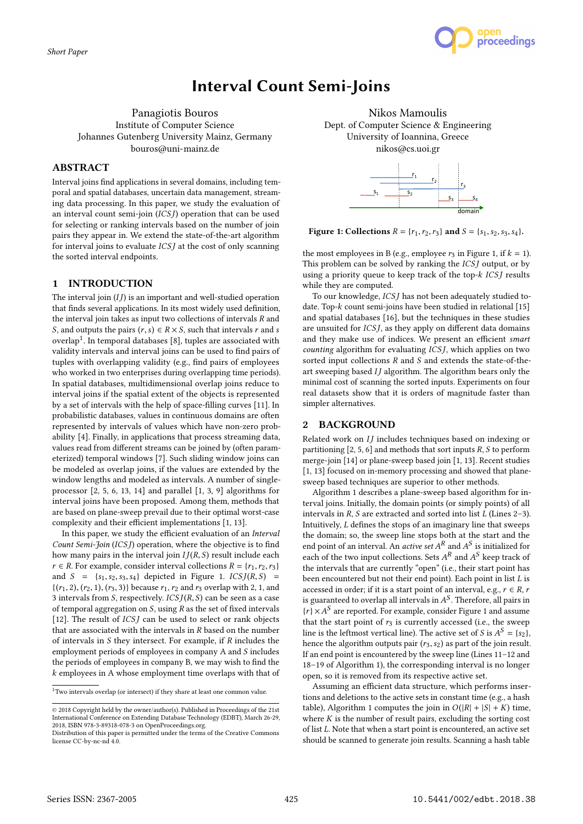

# Interval Count Semi-Joins

Panagiotis Bouros Institute of Computer Science Johannes Gutenberg University Mainz, Germany bouros@uni-mainz.de

## ABSTRACT

Interval joins find applications in several domains, including temporal and spatial databases, uncertain data management, streaming data processing. In this paper, we study the evaluation of an interval count semi-join (ICS J) operation that can be used for selecting or ranking intervals based on the number of join pairs they appear in. We extend the state-of-the-art algorithm for interval joins to evaluate  $ICSJ$  at the cost of only scanning the sorted interval endpoints.

# 1 INTRODUCTION

The interval join  $(IJ)$  is an important and well-studied operation that finds several applications. In its most widely used definition, the interval join takes as input two collections of intervals R and S, and outputs the pairs  $(r, s) \in R \times S$ , such that intervals r and s overlap $^1.$  In temporal databases [8], tuples are associated with validity intervals and interval joins can be used to find pairs of tuples with overlapping validity (e.g., find pairs of employees who worked in two enterprises during overlapping time periods). In spatial databases, multidimensional overlap joins reduce to interval joins if the spatial extent of the objects is represented by a set of intervals with the help of space-filling curves [11]. In probabilistic databases, values in continuous domains are often represented by intervals of values which have non-zero probability [4]. Finally, in applications that process streaming data, values read from different streams can be joined by (often parameterized) temporal windows [7]. Such sliding window joins can be modeled as overlap joins, if the values are extended by the window lengths and modeled as intervals. A number of singleprocessor [2, 5, 6, 13, 14] and parallel [1, 3, 9] algorithms for interval joins have been proposed. Among them, methods that are based on plane-sweep prevail due to their optimal worst-case complexity and their efficient implementations [1, 13].

In this paper, we study the efficient evaluation of an Interval Count Semi-Join (ICSJ) operation, where the objective is to find how many pairs in the interval join  $I/(R, S)$  result include each  $r \in R$ . For example, consider interval collections  $R = \{r_1, r_2, r_3\}$ and  $S = \{s_1, s_2, s_3, s_4\}$  depicted in Figure 1.  $ICS J(R, S)$  =  $\{(r_1, 2), (r_2, 1), (r_3, 3)\}\$  because  $r_1, r_2$  and  $r_3$  overlap with 2, 1, and 3 intervals from S, respectively.  $ICS J(R, S)$  can be seen as a case of temporal aggregation on  $S$ , using  $R$  as the set of fixed intervals [12]. The result of  $ICSJ$  can be used to select or rank objects that are associated with the intervals in  $R$  based on the number of intervals in S they intersect. For example, if R includes the employment periods of employees in company A and S includes the periods of employees in company B, we may wish to find the k employees in A whose employment time overlaps with that of

Nikos Mamoulis Dept. of Computer Science & Engineering University of Ioannina, Greece nikos@cs.uoi.gr



Figure 1: Collections  $R = \{r_1, r_2, r_3\}$  and  $S = \{s_1, s_2, s_3, s_4\}.$ 

the most employees in B (e.g., employee  $r_3$  in Figure 1, if  $k = 1$ ). This problem can be solved by ranking the *ICSJ* output, or by using a priority queue to keep track of the top- $k$  ICSJ results while they are computed.

To our knowledge, *ICSJ* has not been adequately studied todate. Top- $k$  count semi-joins have been studied in relational [15] and spatial databases [16], but the techniques in these studies are unsuited for ICS J, as they apply on different data domains and they make use of indices. We present an efficient smart counting algorithm for evaluating ICSJ, which applies on two sorted input collections  $R$  and  $S$  and extends the state-of-theart sweeping based  $II$  algorithm. The algorithm bears only the minimal cost of scanning the sorted inputs. Experiments on four real datasets show that it is orders of magnitude faster than simpler alternatives.

## 2 BACKGROUND

Related work on  $IJ$  includes techniques based on indexing or partitioning  $[2, 5, 6]$  and methods that sort inputs  $R$ ,  $S$  to perform merge-join [14] or plane-sweep based join [1, 13]. Recent studies [1, 13] focused on in-memory processing and showed that planesweep based techniques are superior to other methods.

Algorithm 1 describes a plane-sweep based algorithm for interval joins. Initially, the domain points (or simply points) of all intervals in  $R$ ,  $S$  are extracted and sorted into list  $L$  (Lines 2–3). Intuitively, L defines the stops of an imaginary line that sweeps the domain; so, the sweep line stops both at the start and the end point of an interval. An *active set*  $A<sup>K</sup>$  and  $A<sup>S</sup>$  is initialized for each of the two input collections. Sets  $A<sup>R</sup>$  and  $A<sup>S</sup>$  keep track of each of the two input collections. Sets  $A<sup>R</sup>$  and  $A<sup>S</sup>$  keep track of the intervals that are currently "open" (i.e., their start point has the intervals that are currently "open" (i.e., their start point has been encountered but not their end point). Each point in list  $L$  is accessed in order; if it is a start point of an interval, e.g.,  $r \in R$ , r is guaranteed to overlap all intervals in  $A^S$ . Therefore, all pairs in  $[x] \times A^S$  are reported. For example, consider Figure 1 and essume  $\{r\} \times A^S$  are reported. For example, consider Figure 1 and assume<br>that the start point of re-is currently accessed (i.e., the sweep that the start point of  $r_3$  is currently accessed (i.e., the sweep line is the leftmost vertical line). The active set of S is  $A^S = \{s_2\}$ ,<br>hance the algorithm outputs pair  $(r_2, s_2)$  as part of the join result hence the algorithm outputs pair  $(r_3, s_2)$  as part of the join result. If an end point is encountered by the sweep line (Lines 11–12 and 18–19 of Algorithm 1), the corresponding interval is no longer open, so it is removed from its respective active set.

Assuming an efficient data structure, which performs insertions and deletions to the active sets in constant time (e.g., a hash table), Algorithm 1 computes the join in  $O(|R| + |S| + K)$  time, where  $K$  is the number of result pairs, excluding the sorting cost of list L. Note that when a start point is encountered, an active set should be scanned to generate join results. Scanning a hash table

 $^{\rm 1}$  Two intervals overlap (or intersect) if they share at least one common value.

<sup>©</sup> 2018 Copyright held by the owner/author(s). Published in Proceedings of the 21st International Conference on Extending Database Technology (EDBT), March 26-29, 2018, ISBN 978-3-89318-078-3 on OpenProceedings.org.

Distribution of this paper is permitted under the terms of the Creative Commons license CC-by-nc-nd 4.0.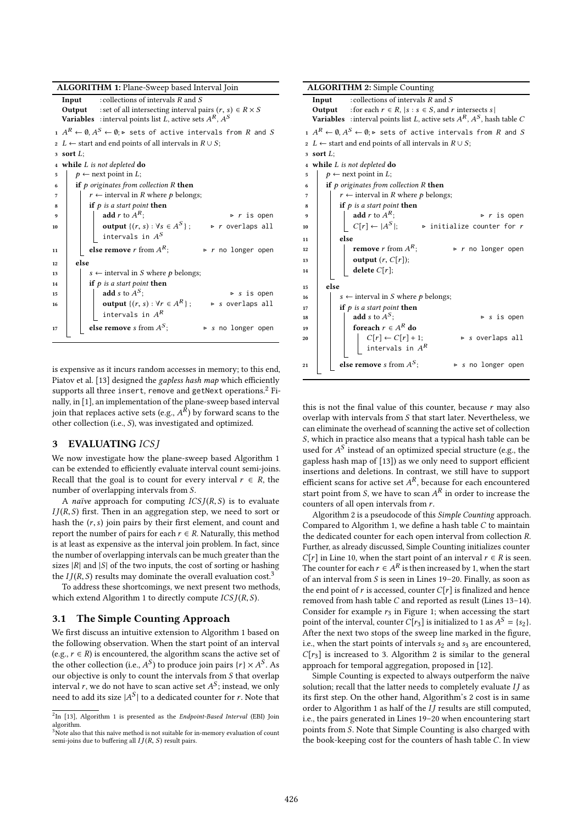|  |  | ALGORITHM 1: Plane-Sweep based Interval Join |
|--|--|----------------------------------------------|
|--|--|----------------------------------------------|

|    | : collections of intervals $R$ and $S$<br>Input                                                                   |                                                                            |                                   |  |  |  |  |  |
|----|-------------------------------------------------------------------------------------------------------------------|----------------------------------------------------------------------------|-----------------------------------|--|--|--|--|--|
|    |                                                                                                                   | : set of all intersecting interval pairs $(r, s) \in R \times S$<br>Output |                                   |  |  |  |  |  |
|    |                                                                                                                   | <b>Variables</b> : interval points list L, active sets $A^R$ , $A^S$       |                                   |  |  |  |  |  |
|    | $A^R \leftarrow \emptyset, A^S \leftarrow \emptyset$ ; $\triangleright$ sets of active intervals from $R$ and $S$ |                                                                            |                                   |  |  |  |  |  |
|    | 2 L $\leftarrow$ start and end points of all intervals in $R \cup S$ ;                                            |                                                                            |                                   |  |  |  |  |  |
|    | 3 sort $L$ :                                                                                                      |                                                                            |                                   |  |  |  |  |  |
|    | 4 while $L$ is not depleted do                                                                                    |                                                                            |                                   |  |  |  |  |  |
| 5  | $p \leftarrow$ next point in L;                                                                                   |                                                                            |                                   |  |  |  |  |  |
| 6  | if $p$ originates from collection $R$ then                                                                        |                                                                            |                                   |  |  |  |  |  |
| 7  | $r \leftarrow$ interval in R where p belongs;                                                                     |                                                                            |                                   |  |  |  |  |  |
| 8  | if $p$ is a start point then                                                                                      |                                                                            |                                   |  |  |  |  |  |
| 9  |                                                                                                                   | add r to $A^R$ ;                                                           | $\triangleright$ r is open        |  |  |  |  |  |
| 10 |                                                                                                                   | <b>output</b> $\{(r, s) : \forall s \in A^S\}$ ;                           | $\triangleright$ r overlaps all   |  |  |  |  |  |
|    |                                                                                                                   | intervals in $A^S$                                                         |                                   |  |  |  |  |  |
| 11 |                                                                                                                   | else remove r from $A^R$ ;                                                 | $\triangleright$ r no longer open |  |  |  |  |  |
| 12 | else                                                                                                              |                                                                            |                                   |  |  |  |  |  |
| 13 |                                                                                                                   | $s \leftarrow$ interval in S where p belongs;                              |                                   |  |  |  |  |  |
| 14 |                                                                                                                   | if $p$ is a start point then                                               |                                   |  |  |  |  |  |
| 15 |                                                                                                                   | add s to $A^S$ ;                                                           | $\triangleright$ s is open        |  |  |  |  |  |
| 16 |                                                                                                                   | <b>output</b> $\{(r, s) : \forall r \in A^R\}$ ;                           | $\triangleright$ s overlaps all   |  |  |  |  |  |
|    |                                                                                                                   | intervals in $A^R$                                                         |                                   |  |  |  |  |  |
| 17 |                                                                                                                   | else remove s from $A^S$ ;                                                 | $\triangleright$ s no longer open |  |  |  |  |  |
|    |                                                                                                                   |                                                                            |                                   |  |  |  |  |  |

is expensive as it incurs random accesses in memory; to this end, Piatov et al. [13] designed the gapless hash map which efficiently supports all three insert, remove and getNext operations.<sup>2</sup> Finally, in [1], an implementation of the plane-sweep based interval join that replaces active sets (e.g.,  $A<sup>K</sup>$ ) by forward scans to the other collection (i.e., S), was investigated and optimized other collection (i.e., S), was investigated and optimized.

## 3 EVALUATING ICS J

We now investigate how the plane-sweep based Algorithm 1 can be extended to efficiently evaluate interval count semi-joins. Recall that the goal is to count for every interval  $r \in R$ , the number of overlapping intervals from S.

A naïve approach for computing  $ICS J(R, S)$  is to evaluate  $IJ(R, S)$  first. Then in an aggregation step, we need to sort or hash the  $(r, s)$  join pairs by their first element, and count and report the number of pairs for each  $r \in R$ . Naturally, this method is at least as expensive as the interval join problem. In fact, since the number of overlapping intervals can be much greater than the sizes  $|R|$  and  $|S|$  of the two inputs, the cost of sorting or hashing the  $I J(R, S)$  results may dominate the overall evaluation cost.<sup>3</sup>

To address these shortcomings, we next present two methods, which extend Algorithm 1 to directly compute  $ICS J(R, S)$ .

## 3.1 The Simple Counting Approach

We first discuss an intuitive extension to Algorithm 1 based on the following observation. When the start point of an interval (e.g.,  $r \in R$ ) is encountered, the algorithm scans the active set of the other collection (i.e.,  $A^S$ ) to produce join pairs  $\{r\} \times A^S$ . As<br>our objective is only to count the intervals from S that overlap our objective is only to count the intervals from S that overlap interval r, we do not have to scan active set  $A^S$ ; instead, we only<br>need to add its size  $|A^S|$  to a dedicated counter for r. Note that need to add its size  $|A^S|$  to a dedicated counter for r. Note that

| <b>ALGORITHM 2:</b> Simple Counting |                                                                                                                |  |  |  |  |  |  |  |  |
|-------------------------------------|----------------------------------------------------------------------------------------------------------------|--|--|--|--|--|--|--|--|
|                                     | : collections of intervals $R$ and $S$<br>Input                                                                |  |  |  |  |  |  |  |  |
|                                     | <b>Output</b> : for each $r \in R$ , $ s : s \in S$ , and r intersects s                                       |  |  |  |  |  |  |  |  |
|                                     | <b>Variables</b> : interval points list L, active sets $A^R$ , $A^S$ , hash table C                            |  |  |  |  |  |  |  |  |
|                                     | $A^R \leftarrow \emptyset, A^S \leftarrow \emptyset; \triangleright$ sets of active intervals from $R$ and $S$ |  |  |  |  |  |  |  |  |
|                                     | 2 L $\leftarrow$ start and end points of all intervals in $R \cup S$ ;                                         |  |  |  |  |  |  |  |  |
|                                     | 3 sort $L$ :                                                                                                   |  |  |  |  |  |  |  |  |
| $\overline{4}$                      | while $L$ is not depleted do                                                                                   |  |  |  |  |  |  |  |  |
| 5                                   | $p \leftarrow$ next point in L;                                                                                |  |  |  |  |  |  |  |  |
| 6                                   | if $p$ originates from collection $R$ then                                                                     |  |  |  |  |  |  |  |  |
| 7                                   | $r \leftarrow$ interval in R where p belongs;                                                                  |  |  |  |  |  |  |  |  |
| 8                                   | if $p$ is a start point then                                                                                   |  |  |  |  |  |  |  |  |
| 9                                   | add r to $A^R$ ;<br>$\triangleright$ r is open                                                                 |  |  |  |  |  |  |  |  |
| 10                                  | $C[r] \leftarrow  A^S ;$<br>$\triangleright$ initialize counter for $r$                                        |  |  |  |  |  |  |  |  |
| 11                                  | else                                                                                                           |  |  |  |  |  |  |  |  |
| 12                                  | <b>remove</b> <i>r</i> from $A^R$ ;<br>$\triangleright$ r no longer open                                       |  |  |  |  |  |  |  |  |
| 13                                  | output $(r, C[r])$ ;                                                                                           |  |  |  |  |  |  |  |  |
| 14                                  | delete $C[r]$ ;                                                                                                |  |  |  |  |  |  |  |  |
| 15                                  | else                                                                                                           |  |  |  |  |  |  |  |  |
| 16                                  | $s \leftarrow$ interval in S where p belongs;                                                                  |  |  |  |  |  |  |  |  |
| 17                                  | if $p$ is a start point then                                                                                   |  |  |  |  |  |  |  |  |
| 18                                  | add s to $A^S$ ;<br>$\triangleright$ s is open                                                                 |  |  |  |  |  |  |  |  |
| 19                                  | for<br>each $r \in A^R$ do                                                                                     |  |  |  |  |  |  |  |  |
| 20                                  | $C[r] \leftarrow C[r] + 1;$<br>$\triangleright$ s overlaps all                                                 |  |  |  |  |  |  |  |  |
|                                     | intervals in $A^R$                                                                                             |  |  |  |  |  |  |  |  |
| 21                                  | else remove s from $A^S$ ;<br>$\triangleright$ s no longer open                                                |  |  |  |  |  |  |  |  |
|                                     |                                                                                                                |  |  |  |  |  |  |  |  |

this is not the final value of this counter, because  $r$  may also overlap with intervals from S that start later. Nevertheless, we can eliminate the overhead of scanning the active set of collection S, which in practice also means that a typical hash table can be used for  $A^S$  instead of an optimized special structure (e.g., the gapless hash map of [13]) as we only need to support efficient gapless hash map of [13]) as we only need to support efficient insertions and deletions. In contrast, we still have to support efficient scans for active set  $A<sup>R</sup>$ , because for each encountered<br>start point from S, we have to scan  $A<sup>R</sup>$  in order to increase the start point from *S*, we have to scan  $A<sup>K</sup>$  in order to increase the counters of all open intervals from *r* counters of all open intervals from r.

Algorithm 2 is a pseudocode of this Simple Counting approach. Compared to Algorithm 1, we define a hash table  $C$  to maintain the dedicated counter for each open interval from collection R. Further, as already discussed, Simple Counting initializes counter  $C[r]$  in Line 10, when the start point of an interval  $r \in R$  is seen. The counter for each  $r \in A^R$  is then increased by 1, when the start of an interval from S is seen in Lines 19–20. Finally, as soon as of an interval from  $S$  is seen in Lines 19-20. Finally, as soon as the end point of  $r$  is accessed, counter  $C[r]$  is finalized and hence removed from hash table C and reported as result (Lines 13–14). Consider for example  $r_3$  in Figure 1; when accessing the start point of the interval, counter  $C[r_3]$  is initialized to 1 as  $A^S = \{s_2\}$ . After the next two stops of the sweep line marked in the figure, i.e., when the start points of intervals  $s_2$  and  $s_3$  are encountered,  $C[r_3]$  is increased to 3. Algorithm 2 is similar to the general approach for temporal aggregation, proposed in [12].

Simple Counting is expected to always outperform the naïve solution; recall that the latter needs to completely evaluate  $II$  as its first step. On the other hand, Algorithm's 2 cost is in same order to Algorithm 1 as half of the  $IJ$  results are still computed, i.e., the pairs generated in Lines 19–20 when encountering start points from S. Note that Simple Counting is also charged with the book-keeping cost for the counters of hash table C. In view

 $^{2}$ In [13], Algorithm 1 is presented as the Endpoint-Based Interval (EBI) Join algorithm.

 $3\overline{\phantom{1}}$ Note also that this naïve method is not suitable for in-memory evaluation of count semi-joins due to buffering all  $IJ(R, S)$  result pairs.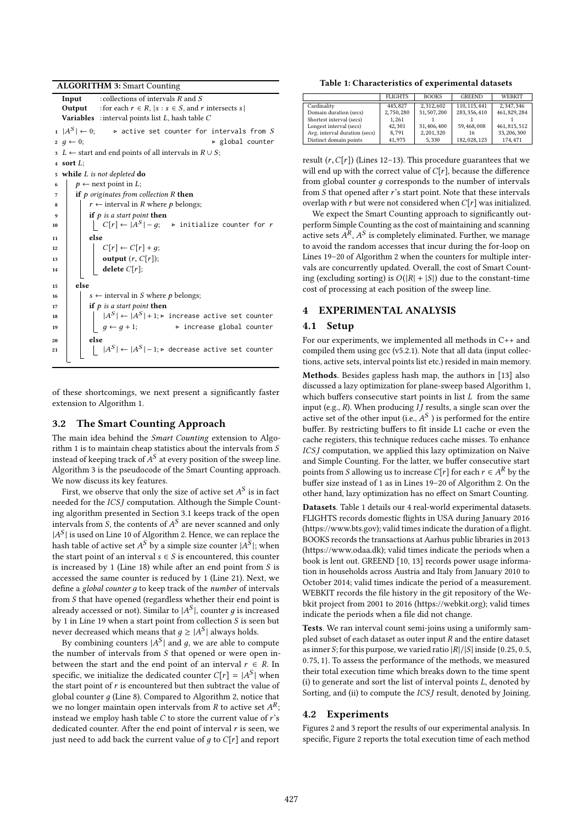ALGORITHM 3: Smart Counting

**Input** : collections of intervals R and S<br>**Output** : for each  $r \in R$ .  $|s| : s \in S$ , and s Output : for each  $r \in R$ ,  $|s : s \in S$ , and r intersects s |<br>Variables : interval points list *L* hash table *C* : interval points list  $L$ , hash table  $C$  $1 \mid A^S$ 1  $|A^S|$  ← 0; → active set counter for intervals from S<br>2  $q \leftarrow 0$ ; → global counter  $2 \t g \leftarrow 0;$   $\triangleright$  global counter 3 L ← start and end points of all intervals in  $R \cup S$ ; <sup>4</sup> sort L; 5 while *L* is not depleted **do**<br>6  $p \leftarrow$  next point in *L*; 6  $p \leftarrow$  next point in *L*;<br> **if** *p* originates from c  $\begin{array}{c|c}\n\hline\n\text{7} & \text{if } p \text{ originates from collection R then} \\
\hline\n\text{8} & \text{1} & \text{r} \leftarrow \text{interval in R where } p \text{ belong to } p\n\end{array}$ 8  $r \leftarrow$  interval in R where p belongs; 9 if p is a start point then<br>  $\begin{array}{|c|c|c|c|c|c|}\n\hline\n10 & & C[r] \leftarrow |A^S|-q;\n\hline\n\end{array}$ 10  $\Big| \Big| \Big| \Big| C[r] \leftarrow |A^S$  $\triangleright$  initialize counter for  $r$ 11 else 12  $\begin{array}{|c|c|c|c|}\n\hline\n12 & C[r] \leftarrow C[r] + g; \n\hline\n\end{array}$ <br> **13** output  $(r, C[r])$ ; 13 **output**  $(r, C[r])$ ;<br>
14 **delete**  $C[r]$ delete  $C[r]$ ;  $15$  else 16  $s \leftarrow$  interval in *S* where *p* belongs;<br>17 **if** *p* is *a start point* then 17 if p is a start point then<br>  $|A^S| \leftarrow |A^S| + 1$ ; <sup>18</sup> <sup>|</sup>A  $S \models |A^S| + 1; \triangleright$  increase active set counter 19  $\left[\begin{array}{c} \perp g \leftarrow g + 1; \\$   $\end{array}\right]$  increase global counter else 21 |  $\lfloor A \rfloor$  $|S|$  ←  $|A^S|$  – 1;⊳ decrease active set counter

of these shortcomings, we next present a significantly faster extension to Algorithm 1.

#### 3.2 The Smart Counting Approach

The main idea behind the Smart Counting extension to Algorithm 1 is to maintain cheap statistics about the intervals from S instead of keeping track of  $A^S$  at every position of the sweep line.<br>Algorithm 3 is the pseudocode of the Smart Counting approach Algorithm 3 is the pseudocode of the Smart Counting approach. We now discuss its key features.

First, we observe that only the size of active set  $A^S$  is in fact<br>eded for the ICSI computation. Although the Simple Count needed for the *ICS* J computation. Although the Simple Counting algorithm presented in Section 3.1 keeps track of the open intervals from *S*, the contents of  $A^S$  are never scanned and only  $|A^S|$  is used on Line 10 of Algorithm 2. Hence, we can replace the  $|A^S|$  is used on Line 10 of Algorithm 2. Hence, we can replace the hash table of active set  $A^S$  by a simple size counter  $|A^S|$ ; when hash table of active set  $A^S$  by a simple size counter  $|A^S|$ ; when<br>the start point of an interval  $s \in S$  is encountered, this counter the start point of an interval  $s \in S$  is encountered, this counter is increased by 1 (Line 18) while after an end point from S is accessed the same counter is reduced by 1 (Line 21). Next, we define a global counter д to keep track of the number of intervals from S that have opened (regardless whether their end point is already accessed or not). Similar to  $|A^S|$ , counter  $g$  is increased<br>by 1 in I ine 19 when a start point from collection S is seen but by 1 in Line 19 when a start point from collection  $S$  is seen but never decreased which means that  $g \geq |A^S|$  always holds.<br>By combining counters  $|A^S|$  and a we are able to con-

By combining counters  $|A^S|$  and g, we are able to compute the number of intervals from S that opened or were open inbetween the start and the end point of an interval  $r \in R$ . In specific, we initialize the dedicated counter  $C[r] = |A^S|$  when<br>the start point of r is encountered but then subtract the value of the start point of  $r$  is encountered but then subtract the value of global counter  $q$  (Line 8). Compared to Algorithm 2, notice that we no longer maintain open intervals from R to active set  $A^R$ ;<br>instead we employ hash table C to store the current value of r's instead we employ hash table  $C$  to store the current value of  $r$ 's dedicated counter. After the end point of interval  $r$  is seen, we just need to add back the current value of  $g$  to  $C[r]$  and report

Table 1: Characteristics of experimental datasets

|                               | <b>FLIGHTS</b> | <b>BOOKS</b> | <b>GREEND</b> | WEBKIT        |
|-------------------------------|----------------|--------------|---------------|---------------|
| Cardinality                   | 445,827        | 2,312,602    | 110, 115, 441 | 2.347.346     |
| Domain duration (secs)        | 2,750,280      | 31, 507, 200 | 283, 356, 410 | 461, 829, 284 |
| Shortest interval (secs)      | 1.261          |              |               |               |
| Longest interval (secs)       | 42.301         | 31, 406, 400 | 59,468,008    | 461, 815, 512 |
| Avg. interval duration (secs) | 8.791          | 2,201,320    | 16            | 33, 206, 300  |
| Distinct domain points        | 41,975         | 5.330        | 182,028,123   | 174.471       |
|                               |                |              |               |               |

result  $(r, C[r])$  (Lines 12-13). This procedure guarantees that we will end up with the correct value of  $C[r]$ , because the difference from global counter *a* corresponds to the number of intervals from  $S$  that opened after  $r$ 's start point. Note that these intervals overlap with r but were not considered when  $C[r]$  was initialized.

We expect the Smart Counting approach to significantly outperform Simple Counting as the cost of maintaining and scanning active sets  $A^R$ ,  $A^S$  is completely eliminated. Further, we manage<br>to avoid the random accesses that incur during the for-loop on to avoid the random accesses that incur during the for-loop on Lines 19–20 of Algorithm 2 when the counters for multiple intervals are concurrently updated. Overall, the cost of Smart Counting (excluding sorting) is  $O(|R| + |S|)$  due to the constant-time cost of processing at each position of the sweep line.

# 4 EXPERIMENTAL ANALYSIS

## 4.1 Setup

For our experiments, we implemented all methods in C++ and compiled them using gcc (v5.2.1). Note that all data (input collections, active sets, interval points list etc.) resided in main memory.

Methods. Besides gapless hash map, the authors in [13] also discussed a lazy optimization for plane-sweep based Algorithm 1, which buffers consecutive start points in list  $L$  from the same input (e.g.,  $R$ ). When producing  $IJ$  results, a single scan over the active set of the other input (i.e.,  $A^S$ ) is performed for the entire<br>buffer. By restricting buffers to fit inside I 1 cashe or even the buffer. By restricting buffers to fit inside L1 cache or even the cache registers, this technique reduces cache misses. To enhance ICSJ computation, we applied this lazy optimization on Naïve and Simple Counting. For the latter, we buffer consecutive start points from S allowing us to increase  $C[r]$  for each  $r \in A^R$  by the<br>buffer size instead of 1 as in Lines 19–20 of Algorithm 2. On the buffer size instead of 1 as in Lines 19–20 of Algorithm 2. On the other hand, lazy optimization has no effect on Smart Counting.

Datasets. Table 1 details our 4 real-world experimental datasets. FLIGHTS records domestic flights in USA during January 2016 (https://www.bts.gov); valid times indicate the duration of a flight. BOOKS records the transactions at Aarhus public libraries in 2013 (https://www.odaa.dk); valid times indicate the periods when a book is lent out. GREEND [10, 13] records power usage information in households across Austria and Italy from January 2010 to October 2014; valid times indicate the period of a measurement. WEBKIT records the file history in the git repository of the Webkit project from 2001 to 2016 (https://webkit.org); valid times indicate the periods when a file did not change.

Tests. We ran interval count semi-joins using a uniformly sampled subset of each dataset as outer input R and the entire dataset as inner S; for this purpose, we varied ratio  $|R|/|S|$  inside {0.25, 0.5, <sup>0</sup>.75, <sup>1</sup>}. To assess the performance of the methods, we measured their total execution time which breaks down to the time spent (i) to generate and sort the list of interval points L, denoted by Sorting, and (ii) to compute the *ICSJ* result, denoted by Joining.

## 4.2 Experiments

Figures 2 and 3 report the results of our experimental analysis. In specific, Figure 2 reports the total execution time of each method